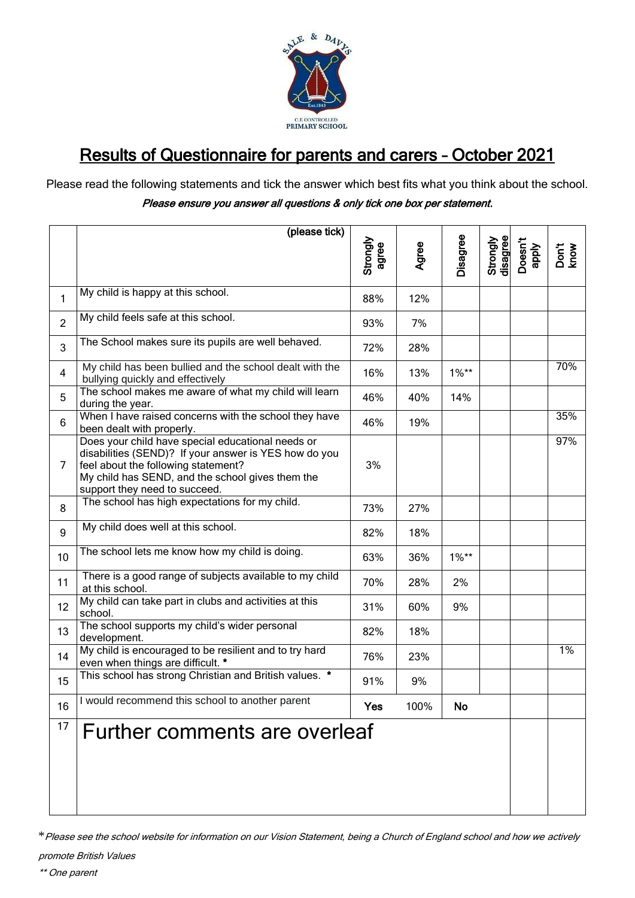

## Results of Questionnaire for parents and carers – October 2021

Please read the following statements and tick the answer which best fits what you think about the school.

## Please ensure you answer all questions & only tick one box per statement.

|                | (please tick)                                                                                                                                                                                                                          |                   |       |          |                      |                  |               |
|----------------|----------------------------------------------------------------------------------------------------------------------------------------------------------------------------------------------------------------------------------------|-------------------|-------|----------|----------------------|------------------|---------------|
|                |                                                                                                                                                                                                                                        | Strongly<br>agree | Agree | Disagree | Strongly<br>disagree | Doesn't<br>apply | Don't<br>know |
| $\mathbf{1}$   | My child is happy at this school.                                                                                                                                                                                                      | 88%               | 12%   |          |                      |                  |               |
| $\overline{2}$ | My child feels safe at this school.                                                                                                                                                                                                    | 93%               | 7%    |          |                      |                  |               |
| 3              | The School makes sure its pupils are well behaved.                                                                                                                                                                                     | 72%               | 28%   |          |                      |                  |               |
| $\overline{4}$ | My child has been bullied and the school dealt with the<br>bullying quickly and effectively                                                                                                                                            | 16%               | 13%   | $1\%**$  |                      |                  | 70%           |
| 5              | The school makes me aware of what my child will learn<br>during the year.                                                                                                                                                              | 46%               | 40%   | 14%      |                      |                  |               |
| 6              | When I have raised concerns with the school they have<br>been dealt with properly.                                                                                                                                                     | 46%               | 19%   |          |                      |                  | 35%           |
| $\overline{7}$ | Does your child have special educational needs or<br>disabilities (SEND)? If your answer is YES how do you<br>feel about the following statement?<br>My child has SEND, and the school gives them the<br>support they need to succeed. | 3%                |       |          |                      |                  | 97%           |
| 8              | The school has high expectations for my child.                                                                                                                                                                                         | 73%               | 27%   |          |                      |                  |               |
| 9              | My child does well at this school.                                                                                                                                                                                                     | 82%               | 18%   |          |                      |                  |               |
| 10             | The school lets me know how my child is doing.                                                                                                                                                                                         | 63%               | 36%   | $1\%**$  |                      |                  |               |
| 11             | There is a good range of subjects available to my child<br>at this school.                                                                                                                                                             | 70%               | 28%   | 2%       |                      |                  |               |
| 12             | My child can take part in clubs and activities at this<br>school.                                                                                                                                                                      | 31%               | 60%   | 9%       |                      |                  |               |
| 13             | The school supports my child's wider personal<br>development.                                                                                                                                                                          | 82%               | 18%   |          |                      |                  |               |
| 14             | My child is encouraged to be resilient and to try hard<br>even when things are difficult. *                                                                                                                                            | 76%               | 23%   |          |                      |                  | 1%            |
| 15             | This school has strong Christian and British values. *                                                                                                                                                                                 | 91%               | 9%    |          |                      |                  |               |
| 16             | I would recommend this school to another parent                                                                                                                                                                                        | Yes               | 100%  | No       |                      |                  |               |
| 17             | Further comments are overleaf                                                                                                                                                                                                          |                   |       |          |                      |                  |               |

\*Please see the school website for information on our Vision Statement, being a Church of England school and how we actively

promote British Values